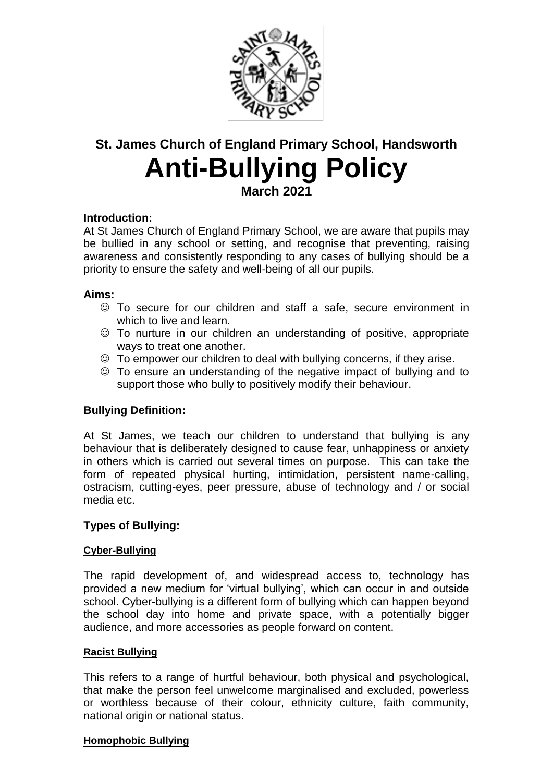

# **St. James Church of England Primary School, Handsworth Anti-Bullying Policy March 2021**

## **Introduction:**

At St James Church of England Primary School, we are aware that pupils may be bullied in any school or setting, and recognise that preventing, raising awareness and consistently responding to any cases of bullying should be a priority to ensure the safety and well-being of all our pupils.

#### **Aims:**

- To secure for our children and staff a safe, secure environment in which to live and learn.
- To nurture in our children an understanding of positive, appropriate ways to treat one another.
- To empower our children to deal with bullying concerns, if they arise.
- To ensure an understanding of the negative impact of bullying and to support those who bully to positively modify their behaviour.

## **Bullying Definition:**

At St James, we teach our children to understand that bullying is any behaviour that is deliberately designed to cause fear, unhappiness or anxiety in others which is carried out several times on purpose. This can take the form of repeated physical hurting, intimidation, persistent name-calling, ostracism, cutting-eyes, peer pressure, abuse of technology and / or social media etc.

## **Types of Bullying:**

## **Cyber-Bullying**

The rapid development of, and widespread access to, technology has provided a new medium for 'virtual bullying', which can occur in and outside school. Cyber-bullying is a different form of bullying which can happen beyond the school day into home and private space, with a potentially bigger audience, and more accessories as people forward on content.

#### **Racist Bullying**

This refers to a range of hurtful behaviour, both physical and psychological, that make the person feel unwelcome marginalised and excluded, powerless or worthless because of their colour, ethnicity culture, faith community, national origin or national status.

#### **Homophobic Bullying**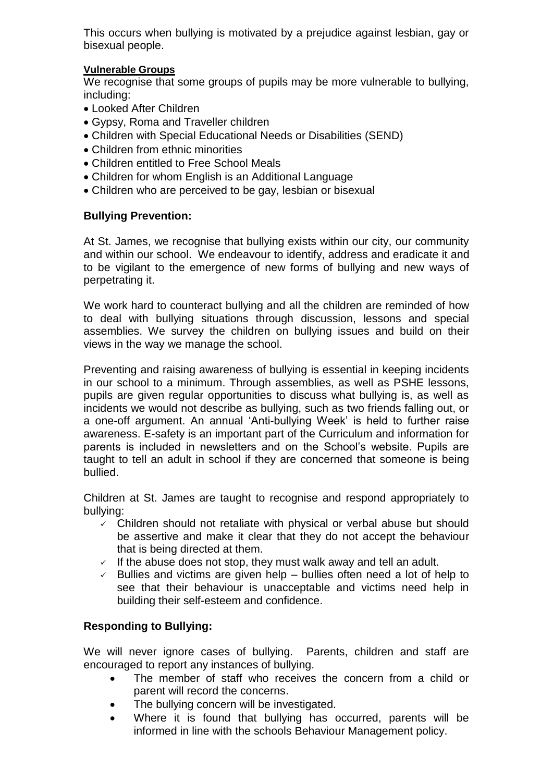This occurs when bullying is motivated by a prejudice against lesbian, gay or bisexual people.

## **Vulnerable Groups**

We recognise that some groups of pupils may be more vulnerable to bullying, including:

- Looked After Children
- Gypsy, Roma and Traveller children
- Children with Special Educational Needs or Disabilities (SEND)
- Children from ethnic minorities
- Children entitled to Free School Meals
- Children for whom English is an Additional Language
- Children who are perceived to be gay, lesbian or bisexual

## **Bullying Prevention:**

At St. James, we recognise that bullying exists within our city, our community and within our school. We endeavour to identify, address and eradicate it and to be vigilant to the emergence of new forms of bullying and new ways of perpetrating it.

We work hard to counteract bullying and all the children are reminded of how to deal with bullying situations through discussion, lessons and special assemblies. We survey the children on bullying issues and build on their views in the way we manage the school.

Preventing and raising awareness of bullying is essential in keeping incidents in our school to a minimum. Through assemblies, as well as PSHE lessons, pupils are given regular opportunities to discuss what bullying is, as well as incidents we would not describe as bullying, such as two friends falling out, or a one-off argument. An annual 'Anti-bullying Week' is held to further raise awareness. E-safety is an important part of the Curriculum and information for parents is included in newsletters and on the School's website. Pupils are taught to tell an adult in school if they are concerned that someone is being bullied.

Children at St. James are taught to recognise and respond appropriately to bullying:

- $\checkmark$  Children should not retaliate with physical or verbal abuse but should be assertive and make it clear that they do not accept the behaviour that is being directed at them.
- $\checkmark$  If the abuse does not stop, they must walk away and tell an adult.
- $\sim$  Bullies and victims are given help bullies often need a lot of help to see that their behaviour is unacceptable and victims need help in building their self-esteem and confidence.

# **Responding to Bullying:**

We will never ignore cases of bullying. Parents, children and staff are encouraged to report any instances of bullying.

- The member of staff who receives the concern from a child or parent will record the concerns.
- The bullying concern will be investigated.
- Where it is found that bullying has occurred, parents will be informed in line with the schools Behaviour Management policy.